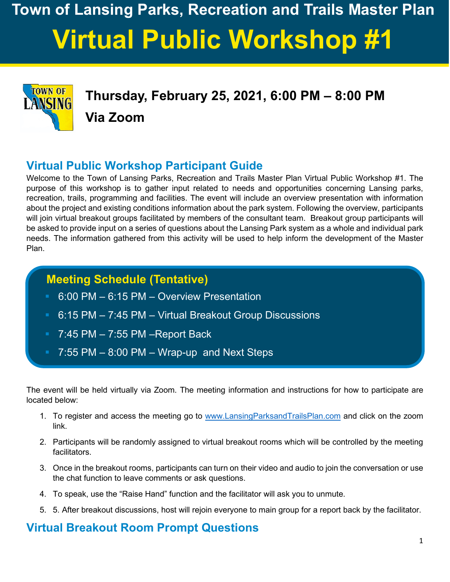# **Town of Lansing Parks, Recreation and Trails Master Plan Virtual Public Workshop #1**



**Thursday, February 25, 2021, 6:00 PM – 8:00 PM Via Zoom**

## **Virtual Public Workshop Participant Guide**

Welcome to the Town of Lansing Parks, Recreation and Trails Master Plan Virtual Public Workshop #1. The purpose of this workshop is to gather input related to needs and opportunities concerning Lansing parks, recreation, trails, programming and facilities. The event will include an overview presentation with information about the project and existing conditions information about the park system. Following the overview, participants will join virtual breakout groups facilitated by members of the consultant team. Breakout group participants will be asked to provide input on a series of questions about the Lansing Park system as a whole and individual park needs. The information gathered from this activity will be used to help inform the development of the Master Plan.

## **Meeting Schedule (Tentative)**

- 6:00 PM 6:15 PM Overview Presentation
- 6:15 PM 7:45 PM Virtual Breakout Group Discussions
- **Fig. 3** 7:45 PM 7:55 PM –Report Back
	- 7:55 PM 8:00 PM Wrap-up and Next Steps

The event will be held virtually via Zoom. The meeting information and instructions for how to participate are located below:

- 1. To register and access the meeting go to [www.LansingParksandTrailsPlan.com](http://www.lansingparksandtrailsplan.com/) and click on the zoom link.
- 2. Participants will be randomly assigned to virtual breakout rooms which will be controlled by the meeting facilitators.
- 3. Once in the breakout rooms, participants can turn on their video and audio to join the conversation or use the chat function to leave comments or ask questions.
- 4. To speak, use the "Raise Hand" function and the facilitator will ask you to unmute.
- 5. 5. After breakout discussions, host will rejoin everyone to main group for a report back by the facilitator.

## **Virtual Breakout Room Prompt Questions**